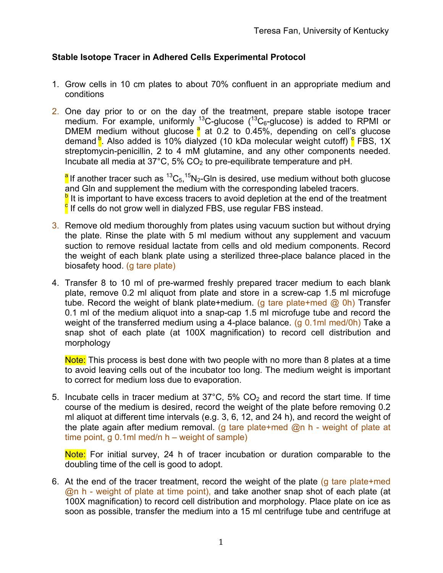## **Stable Isotope Tracer in Adhered Cells Experimental Protocol**

- 1. Grow cells in 10 cm plates to about 70% confluent in an appropriate medium and conditions
- 2. One day prior to or on the day of the treatment, prepare stable isotope tracer medium. For example, uniformly  $^{13}$ C-glucose ( $^{13}C_6$ -glucose) is added to RPMI or DMEM medium without glucose  $\frac{a}{b}$  at 0.2 to 0.45%, depending on cell's glucose demand <sup>b</sup>. Also added is 10% dialyzed (10 kDa molecular weight cutoff) <sup>c</sup> FBS, 1X streptomycin-penicillin, 2 to 4 mM glutamine, and any other components needed. Incubate all media at  $37^{\circ}$ C, 5% CO<sub>2</sub> to pre-equilibrate temperature and pH.

<sup>a</sup>lf another tracer such as <sup>13</sup>C<sub>5</sub>,<sup>15</sup>N<sub>2</sub>-Gln is desired, use medium without both glucose and Gln and supplement the medium with the corresponding labeled tracers.  $\frac{b}{c}$  It is important to have excess tracers to avoid depletion at the end of the treatment  $\frac{c}{c}$  If cells do not grow well in dialyzed FBS, use regular FBS instead.

- 3. Remove old medium thoroughly from plates using vacuum suction but without drying the plate. Rinse the plate with 5 ml medium without any supplement and vacuum suction to remove residual lactate from cells and old medium components. Record the weight of each blank plate using a sterilized three-place balance placed in the biosafety hood. (g tare plate)
- 4. Transfer 8 to 10 ml of pre-warmed freshly prepared tracer medium to each blank plate, remove 0.2 ml aliquot from plate and store in a screw-cap 1.5 ml microfuge tube. Record the weight of blank plate+medium. (g tare plate+med  $\omega$  0h) Transfer 0.1 ml of the medium aliquot into a snap-cap 1.5 ml microfuge tube and record the weight of the transferred medium using a 4-place balance. (g  $0.1$ ml med/0h) Take a snap shot of each plate (at 100X magnification) to record cell distribution and morphology

Note: This process is best done with two people with no more than 8 plates at a time to avoid leaving cells out of the incubator too long. The medium weight is important to correct for medium loss due to evaporation.

5. Incubate cells in tracer medium at  $37^{\circ}$ C,  $5\%$  CO<sub>2</sub> and record the start time. If time course of the medium is desired, record the weight of the plate before removing 0.2 ml aliquot at different time intervals (e.g. 3, 6, 12, and 24 h), and record the weight of the plate again after medium removal. (g tare plate+med @n h - weight of plate at time point, g 0.1ml med/n h – weight of sample)

Note: For initial survey, 24 h of tracer incubation or duration comparable to the doubling time of the cell is good to adopt.

6. At the end of the tracer treatment, record the weight of the plate (g tare plate+med @n h - weight of plate at time point), and take another snap shot of each plate (at 100X magnification) to record cell distribution and morphology. Place plate on ice as soon as possible, transfer the medium into a 15 ml centrifuge tube and centrifuge at